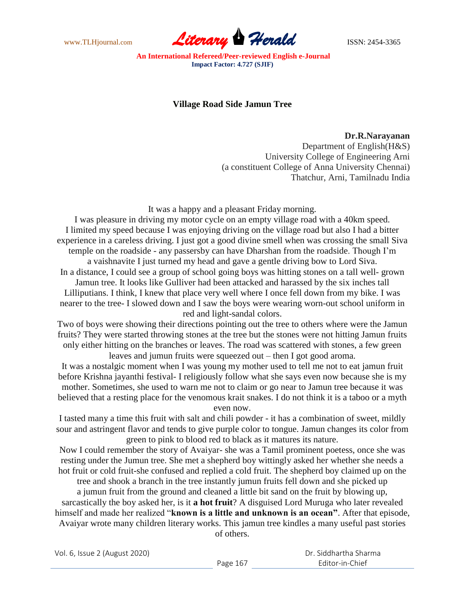

**An International Refereed/Peer-reviewed English e-Journal Impact Factor: 4.727 (SJIF)**

## **Village Road Side Jamun Tree**

## **Dr.R.Narayanan**

Department of English(H&S) University College of Engineering Arni (a constituent College of Anna University Chennai) Thatchur, Arni, Tamilnadu India

It was a happy and a pleasant Friday morning.

I was pleasure in driving my motor cycle on an empty village road with a 40km speed. I limited my speed because I was enjoying driving on the village road but also I had a bitter experience in a careless driving. I just got a good divine smell when was crossing the small Siva temple on the roadside - any passersby can have Dharshan from the roadside. Though I"m

a vaishnavite I just turned my head and gave a gentle driving bow to Lord Siva. In a distance, I could see a group of school going boys was hitting stones on a tall well- grown Jamun tree. It looks like Gulliver had been attacked and harassed by the six inches tall Lilliputians. I think, I knew that place very well where I once fell down from my bike. I was nearer to the tree- I slowed down and I saw the boys were wearing worn-out school uniform in

red and light-sandal colors.

Two of boys were showing their directions pointing out the tree to others where were the Jamun fruits? They were started throwing stones at the tree but the stones were not hitting Jamun fruits only either hitting on the branches or leaves. The road was scattered with stones, a few green leaves and jumun fruits were squeezed out – then I got good aroma.

It was a nostalgic moment when I was young my mother used to tell me not to eat jamun fruit before Krishna jayanthi festival- I religiously follow what she says even now because she is my mother. Sometimes, she used to warn me not to claim or go near to Jamun tree because it was believed that a resting place for the venomous krait snakes. I do not think it is a taboo or a myth even now.

I tasted many a time this fruit with salt and chili powder - it has a combination of sweet, mildly sour and astringent flavor and tends to give purple color to tongue. Jamun changes its color from green to pink to blood red to black as it matures its nature.

Now I could remember the story of Avaiyar- she was a Tamil prominent poetess, once she was resting under the Jumun tree. She met a shepherd boy wittingly asked her whether she needs a hot fruit or cold fruit-she confused and replied a cold fruit. The shepherd boy claimed up on the tree and shook a branch in the tree instantly jumun fruits fell down and she picked up

a jumun fruit from the ground and cleaned a little bit sand on the fruit by blowing up, sarcastically the boy asked her, is it **a hot fruit**? A disguised Lord Muruga who later revealed himself and made her realized "**known is a little and unknown is an ocean"**. After that episode, Avaiyar wrote many children literary works. This jamun tree kindles a many useful past stories

of others.

Vol. 6, Issue 2 (August 2020)

| Dr. Siddhartha Sharma |  |
|-----------------------|--|
| Fditor-in-Chief       |  |